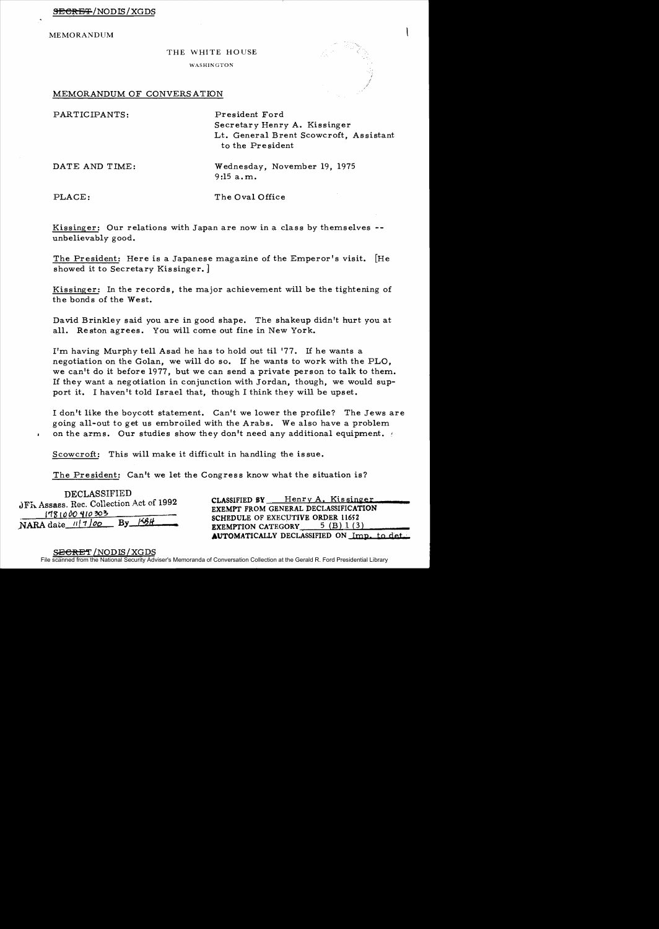MEMORANDUM

## THE WHITE HOUSE

**WASHINGTON** 

## MEMORANDUM OF CONVERSATION

PARTICIPANTS: President Ford

Secretar *y* Henry A. Kissinger Lt. General Brent Scowcroft, Assistant to the Pr e sident

DATE AND TIME: Wednesday, November 19, 1975 9:15 a.m.

PLACE: The Oval Office

Kissinger: Our relations with Japan are now in a class by themselves -unbelievably good.

The President: Here is a Japanese magazine of the Emperor's visit. [He showed it to Secretary Kissinger.]

Kissinger: In the records, the major achievement will be the tightening of the bonds of the West.

David Brinkley said you are in good shape. The shakeup didn't hurt you at all. Reston agrees. You will come out fine in New York.

I'm having Murphy tell Asad he has to hold out til '77. If he wants a negotiation on the Golan, we will do so. If he wants to work with the PLO, we can't do it before 1977, but we can send a private person to talk to them. If they want a negotiation in conjunction with Jordan, though, we would support it. I haven't told Israel that, though I think they will be upset.

I don't like the boycott statement. Can't we lower the profile? The Jews are going all-out to get us embroiled with the Arabs. We also have a problem on the arms. Our studies show they don't need any additional equipment.

Scowcroft: This will make it difficult in handling the is sue.

The President: Can't we let the Congress know what the situation is?

DECLASSIFIED 1'18 1000 **Properties 20 8CHEDULE OF EXECUTIVE ORDER 11652**<br>NARA date *11* | 1 00 By <del>[18].</del> **• EXEMPTION CATEGORY** 5 (B) 1 (3)

JFK Assass. Rec. Collection Act of 1992 CLASSIFIED BY Henry A. Kissinger<br>1781000410303 EXEMPT FROM GENERAL DECLASSIFICATION AUTOMATICALLY DECLASSIFIED ON Imp. to det.

<del>ECRET</del> /NODIS/XGDS

File scanned from the National Security Adviser's Memoranda of Conversation Collection at the Gerald R. Ford Presidential Library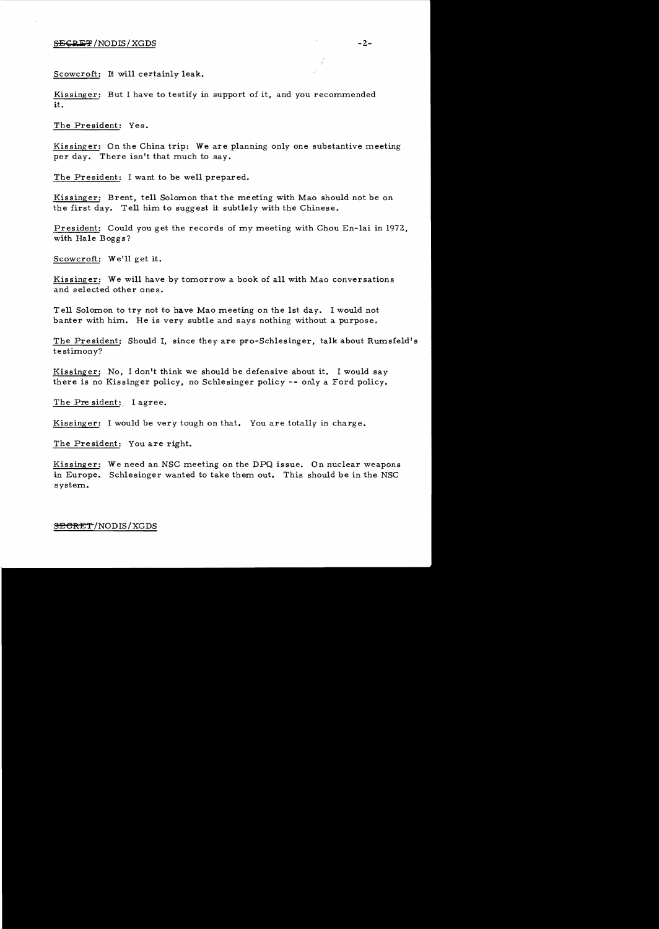Scowcroft: It will certainly leak.

Kissinger: But I have to testify in support of it, and you recommended it.

The President: Yes.

Kissinger: On the China trip: We are planning only one substantive meeting per day. There isn't that much to say.

The President: I want to be well prepared.

Kissinger: Brent, tell Solomon that the meeting with Mao should not be on the first day. Tell him to suggest it subtlely with the Chinese.

President: Could you get the records of my meeting with Chou En-lai in 1972, with Hale Boggs?

Scowcroft: We'll get it.

Kissinger: We will have by tomorrow a book of all with Mao conversations and selected other ones.

Tell Solomon to try not to have Mao meeting on the 1st day. I would not banter with him. He is very subtle and says nothing without a purpose.

The President: Should I, since they are pro-Schlesinger, talk about Rumsfeld' s testimony?

Kissinger: No, I don't think we should be defensive about it. I would say there is no Kissinger policy, no Schlesinger policy -- only a Ford policy.

The President: I agree.

Kissinger: I would be very tough on that. You are totally in charge.

The President: You are right.

Kissinger: We need an NSC meeting on the DPQ issue. On nuclear weapons in Europe. Schlesinger wanted to take them out. This should be in the NSC system.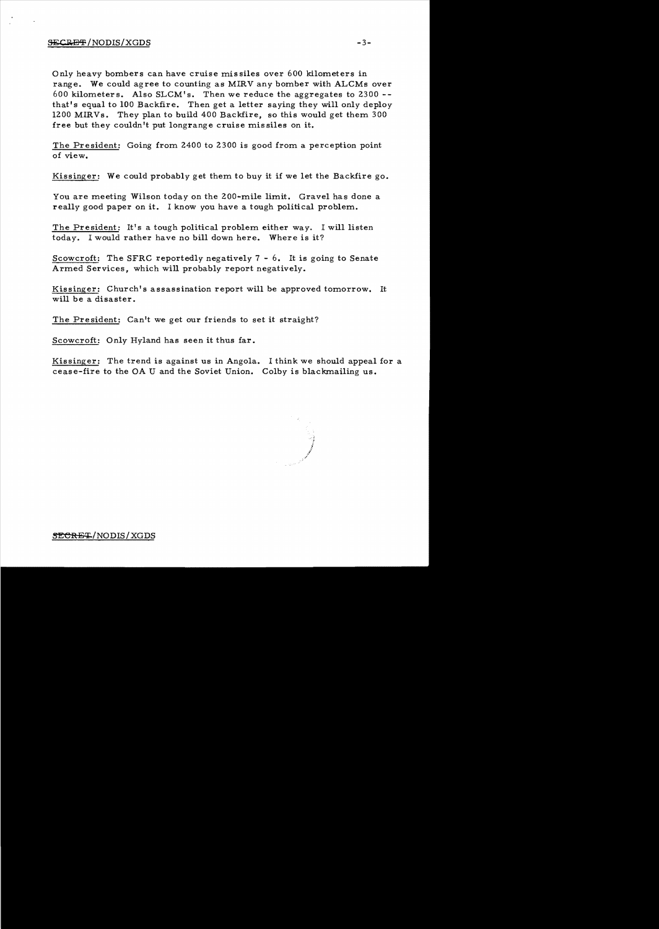## $\frac{1}{2}$   $\frac{1}{2}$   $\frac{1}{2}$   $\frac{1}{2}$   $\frac{1}{2}$   $\frac{1}{2}$   $\frac{1}{2}$   $\frac{1}{2}$   $\frac{1}{2}$   $\frac{1}{2}$   $\frac{1}{2}$   $\frac{1}{2}$   $\frac{1}{2}$   $\frac{1}{2}$   $\frac{1}{2}$   $\frac{1}{2}$   $\frac{1}{2}$   $\frac{1}{2}$   $\frac{1}{2}$   $\frac{1}{2}$   $\frac{1}{2}$   $\frac{1}{2}$

Only heavy bombers can have cruise missiles over 600 kilometers in range. We could agree to counting as MIRV any bomber with ALCMs over 600 kilometers. Also SLCM's. Then we reduce the aggregates to 2300 that's equal to 100 Backfire. Then get a letter saying they will only deploy 1200 MIRVs. They plan to build 400 Backfire, so this would get them 300 free but they couldn't put longrange cruise missiles on it.

The President: Going from 2400 to 2300 is good from a perception point of view.

Kissinger: We could probably get them to buy it if we let the Backfire go.

You are meeting Wilson today on the 200-mile limit. Gravel has done a really good paper on it. I know you have a tough political problem.

The President: It's a tough political problem either way. I will listen today. I would rather have no bill down here. Where is it?

Scowcroft: The SFRC reportedly negatively 7 - 6. It is going to Senate Armed Services, which will probably report negatively.

Kissinger: Church's assassination report will be approved tomorrow. It will be a disaster.

The President: Can't we get our friends to set it straight?

Scowcroft: Only Hyland has seen it thus far.

Kissinger: The trend is against us in Angola. I think we should appeal for a cease-fire to the OA U and the Soviet Union. Colby is blackmailing us.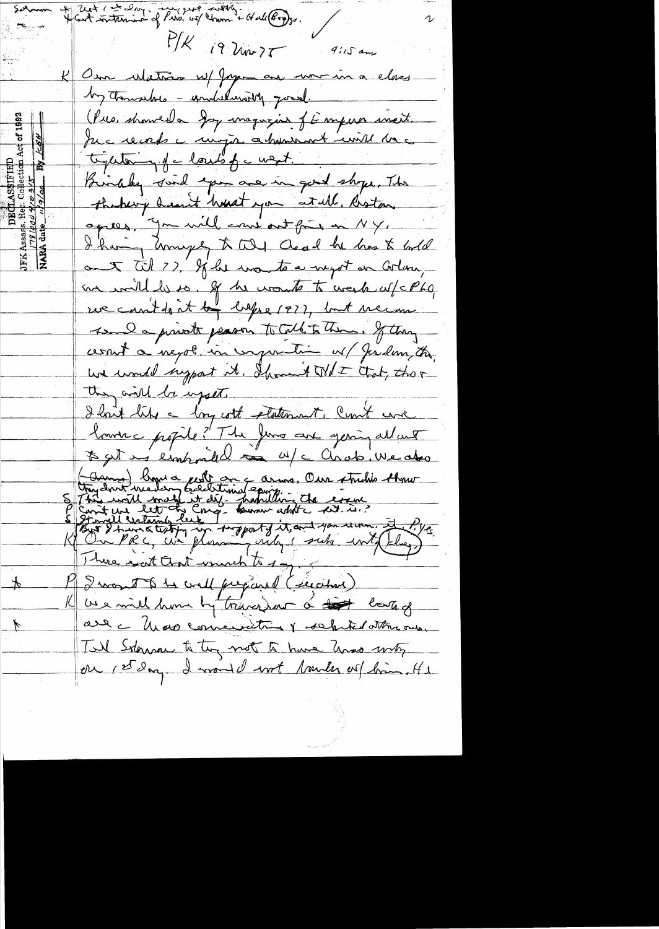Unt ( et dans monseigner soutigner et allerges.  $P/K$  i9  $\lambda w$  )  $T$  9 115 am Our Matrix W/ Japan au unicina class by thousand - indulations good. (Pus, showed a Joy magazine of Emperor met. Ju c records a major abundant mil da tighter y f a louds of a west. Bindley suid you are in gold shope. The theberg heart houst you at all. Riston opies. Ju will court out fruit en NY. I having honeyes to till Ocal he has to hold out til ?? If he wants a negot on Corlan, an will be. If he wants to week af=Pha rue can't don't by lapse 1977, but mecan send a private peason to Call to them. If they cesnit a negot in injuntime of Jerdam, the, we would support it. Ihround  $\text{Wd}\mathcal{I}$  that, the r they will be upset. I hait life a long cott platement, Count and louver propile? The Jews are gering allant (Comme) brand poil on a comme, Own struction throw<br>This will make it did a partition the count.<br>This will make it did a partition the count.<br>In the letter can throw white set, in ?<br>In the c, and please only stake with they There wat ant wind I want to be well prepared (segator) KU us mill home by transform a top large are c Unave convenitoire y selected attre one.  $\overline{\mathcal{V}}$ Til Sterna to try not to have and moty or 1st day I would not tranter or bin. It is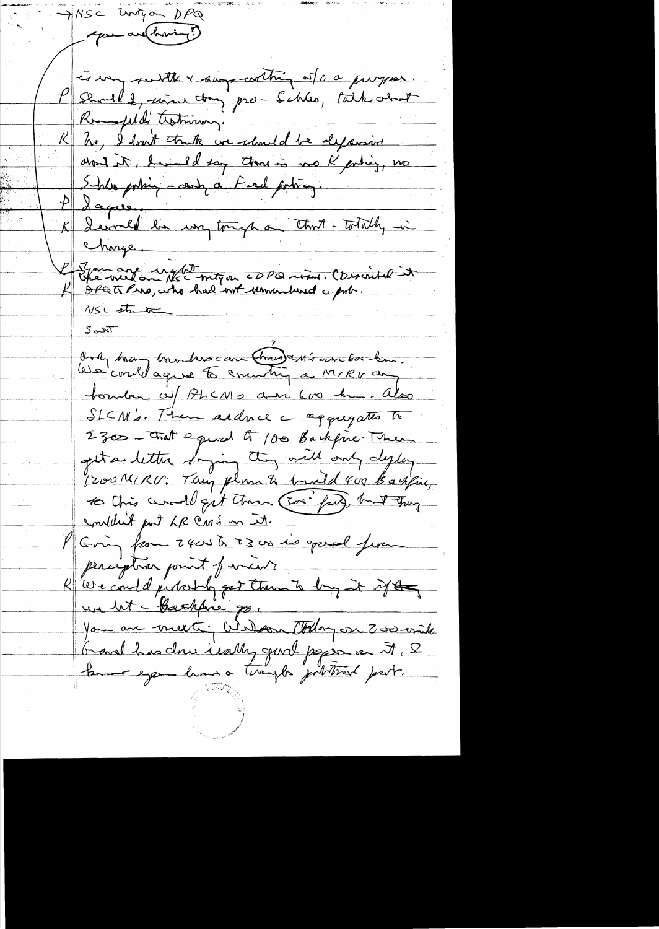MSC Unigon DPQ - exam and howing? les un suites + says contrig of 0 0 purpos. Remofields trating. K In, I don't truth we chand the dysision  $\frac{\rho}{\sqrt{2}}$  dapper derved be un tough on that - Totally in  $\mathcal{K} \big\|$ Charge. Promote ught<br>Chemielon Nec migon cDPQ rim. (Discribel it NSC strate Only hay hundrescan Christian for kin. touten of PhCNID am 600 hm. also SLCN's. Then addred a aggregates to 2300 - Chat equal à 100 Backfree. Then get a letter saying they will only deplay 1200 MIRU. They plan to build 400 Basfie, to this would get them (Ever find), hand thing condition fort LR CMS on it. I Going from zeast 2300 is good from perception point of incist R'we could judochty get than to by it if the un bit - Beachfore par Modern Colory an Zoo with